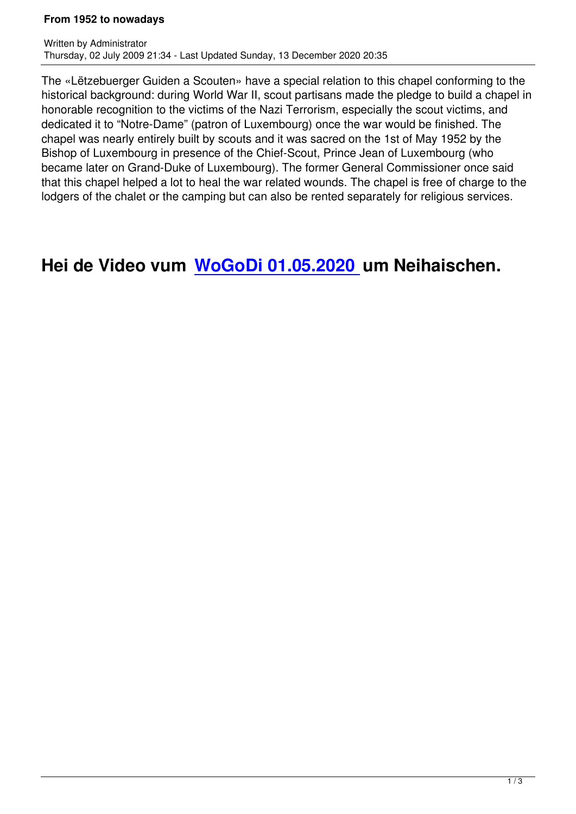The «Lëtzebuerger Guiden a Scouten» have a special relation to this chapel conforming to the historical background: during World War II, scout partisans made the pledge to build a chapel in honorable recognition to the victims of the Nazi Terrorism, especially the scout victims, and dedicated it to "Notre-Dame" (patron of Luxembourg) once the war would be finished. The chapel was nearly entirely built by scouts and it was sacred on the 1st of May 1952 by the Bishop of Luxembourg in presence of the Chief-Scout, Prince Jean of Luxembourg (who became later on Grand-Duke of Luxembourg). The former General Commissioner once said that this chapel helped a lot to heal the war related wounds. The chapel is free of charge to the lodgers of the chalet or the camping but can also be rented separately for religious services.

### **Hei de Video vum WoGoDi 01.05.2020 um Neihaischen.**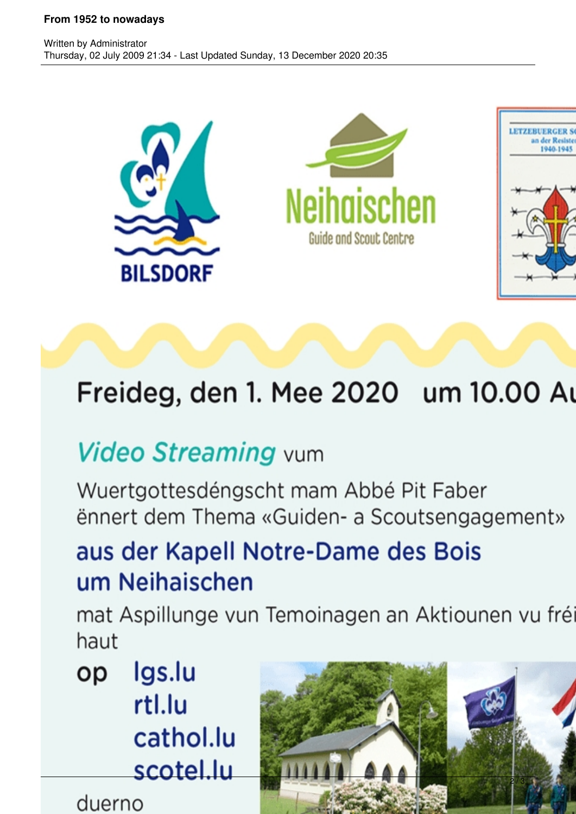#### From 1952 to nowadays



# Freideg, den 1. Mee 2020 um 10.00 Au

## **Video Streaming vum**

Wuertgottesdéngscht mam Abbé Pit Faber ënnert dem Thema «Guiden- a Scoutsengagement»

### aus der Kapell Notre-Dame des Bois um Neihaischen

mat Aspillunge vun Temoinagen an Aktiounen vu fré haut

lgs.lu op rtl.lu cathol.lu scotel.lu

duerno